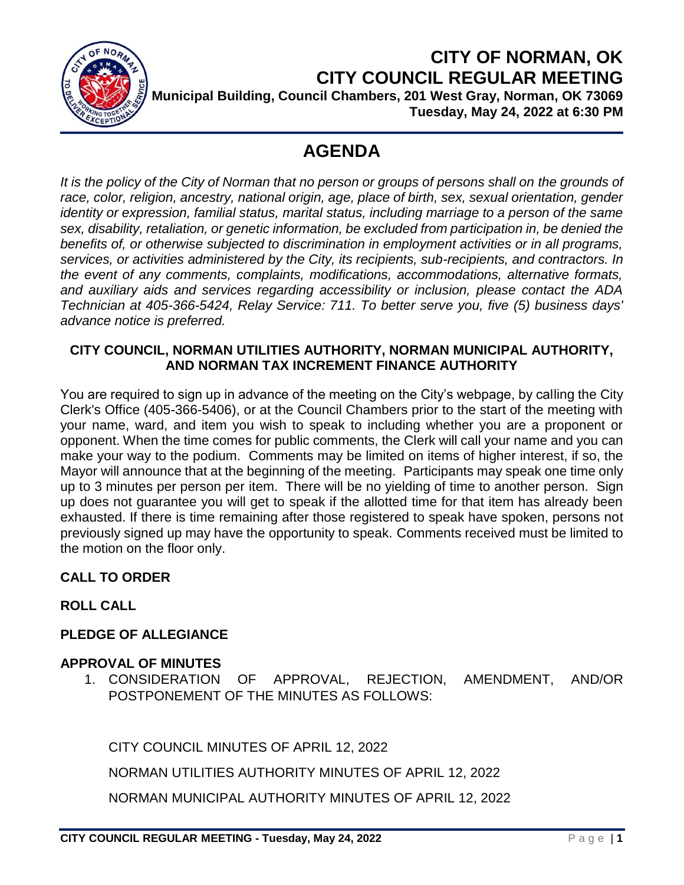

# **CITY OF NORMAN, OK CITY COUNCIL REGULAR MEETING Municipal Building, Council Chambers, 201 West Gray, Norman, OK 73069**

**Tuesday, May 24, 2022 at 6:30 PM**

# **AGENDA**

It is the policy of the City of Norman that no person or groups of persons shall on the grounds of *race, color, religion, ancestry, national origin, age, place of birth, sex, sexual orientation, gender identity or expression, familial status, marital status, including marriage to a person of the same sex, disability, retaliation, or genetic information, be excluded from participation in, be denied the benefits of, or otherwise subjected to discrimination in employment activities or in all programs, services, or activities administered by the City, its recipients, sub-recipients, and contractors. In the event of any comments, complaints, modifications, accommodations, alternative formats, and auxiliary aids and services regarding accessibility or inclusion, please contact the ADA Technician at 405-366-5424, Relay Service: 711. To better serve you, five (5) business days' advance notice is preferred.*

# **CITY COUNCIL, NORMAN UTILITIES AUTHORITY, NORMAN MUNICIPAL AUTHORITY, AND NORMAN TAX INCREMENT FINANCE AUTHORITY**

You are required to sign up in advance of the meeting on the City's webpage, by calling the City Clerk's Office (405-366-5406), or at the Council Chambers prior to the start of the meeting with your name, ward, and item you wish to speak to including whether you are a proponent or opponent. When the time comes for public comments, the Clerk will call your name and you can make your way to the podium. Comments may be limited on items of higher interest, if so, the Mayor will announce that at the beginning of the meeting. Participants may speak one time only up to 3 minutes per person per item. There will be no yielding of time to another person. Sign up does not guarantee you will get to speak if the allotted time for that item has already been exhausted. If there is time remaining after those registered to speak have spoken, persons not previously signed up may have the opportunity to speak. Comments received must be limited to the motion on the floor only.

# **CALL TO ORDER**

**ROLL CALL**

# **PLEDGE OF ALLEGIANCE**

# **APPROVAL OF MINUTES**

1. CONSIDERATION OF APPROVAL, REJECTION, AMENDMENT, AND/OR POSTPONEMENT OF THE MINUTES AS FOLLOWS:

CITY COUNCIL MINUTES OF APRIL 12, 2022

NORMAN UTILITIES AUTHORITY MINUTES OF APRIL 12, 2022

NORMAN MUNICIPAL AUTHORITY MINUTES OF APRIL 12, 2022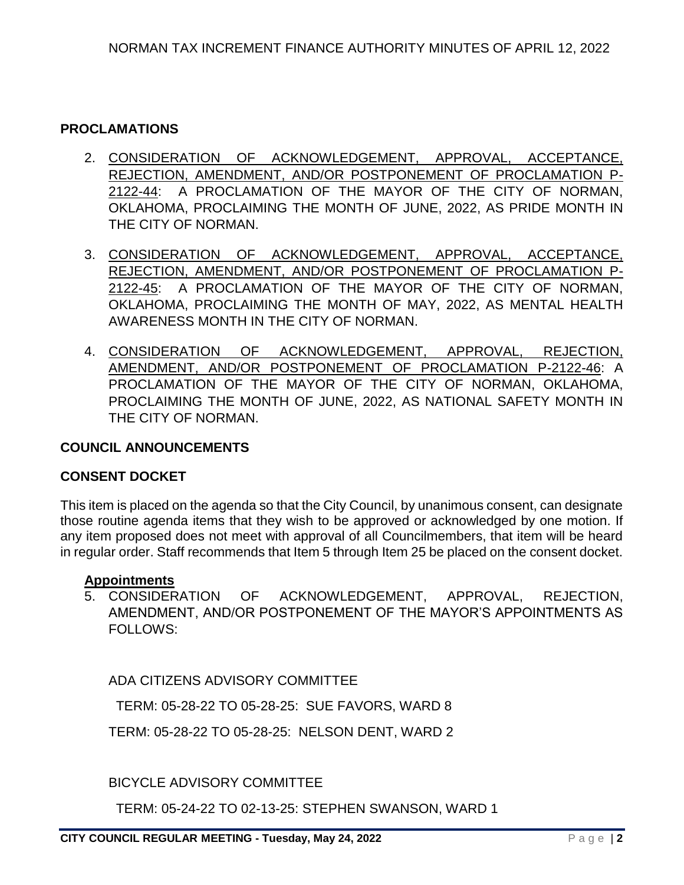### **PROCLAMATIONS**

- 2. CONSIDERATION OF ACKNOWLEDGEMENT, APPROVAL, ACCEPTANCE, REJECTION, AMENDMENT, AND/OR POSTPONEMENT OF PROCLAMATION P-2122-44: A PROCLAMATION OF THE MAYOR OF THE CITY OF NORMAN, OKLAHOMA, PROCLAIMING THE MONTH OF JUNE, 2022, AS PRIDE MONTH IN THE CITY OF NORMAN.
- 3. CONSIDERATION OF ACKNOWLEDGEMENT, APPROVAL, ACCEPTANCE, REJECTION, AMENDMENT, AND/OR POSTPONEMENT OF PROCLAMATION P-2122-45: A PROCLAMATION OF THE MAYOR OF THE CITY OF NORMAN, OKLAHOMA, PROCLAIMING THE MONTH OF MAY, 2022, AS MENTAL HEALTH AWARENESS MONTH IN THE CITY OF NORMAN.
- 4. CONSIDERATION OF ACKNOWLEDGEMENT, APPROVAL, REJECTION, AMENDMENT, AND/OR POSTPONEMENT OF PROCLAMATION P-2122-46: A PROCLAMATION OF THE MAYOR OF THE CITY OF NORMAN, OKLAHOMA, PROCLAIMING THE MONTH OF JUNE, 2022, AS NATIONAL SAFETY MONTH IN THE CITY OF NORMAN.

### **COUNCIL ANNOUNCEMENTS**

#### **CONSENT DOCKET**

This item is placed on the agenda so that the City Council, by unanimous consent, can designate those routine agenda items that they wish to be approved or acknowledged by one motion. If any item proposed does not meet with approval of all Councilmembers, that item will be heard in regular order. Staff recommends that Item 5 through Item 25 be placed on the consent docket.

#### **Appointments**

5. CONSIDERATION OF ACKNOWLEDGEMENT, APPROVAL, REJECTION, AMENDMENT, AND/OR POSTPONEMENT OF THE MAYOR'S APPOINTMENTS AS FOLLOWS:

ADA CITIZENS ADVISORY COMMITTEE

TERM: 05-28-22 TO 05-28-25: SUE FAVORS, WARD 8

TERM: 05-28-22 TO 05-28-25: NELSON DENT, WARD 2

BICYCLE ADVISORY COMMITTEE

TERM: 05-24-22 TO 02-13-25: STEPHEN SWANSON, WARD 1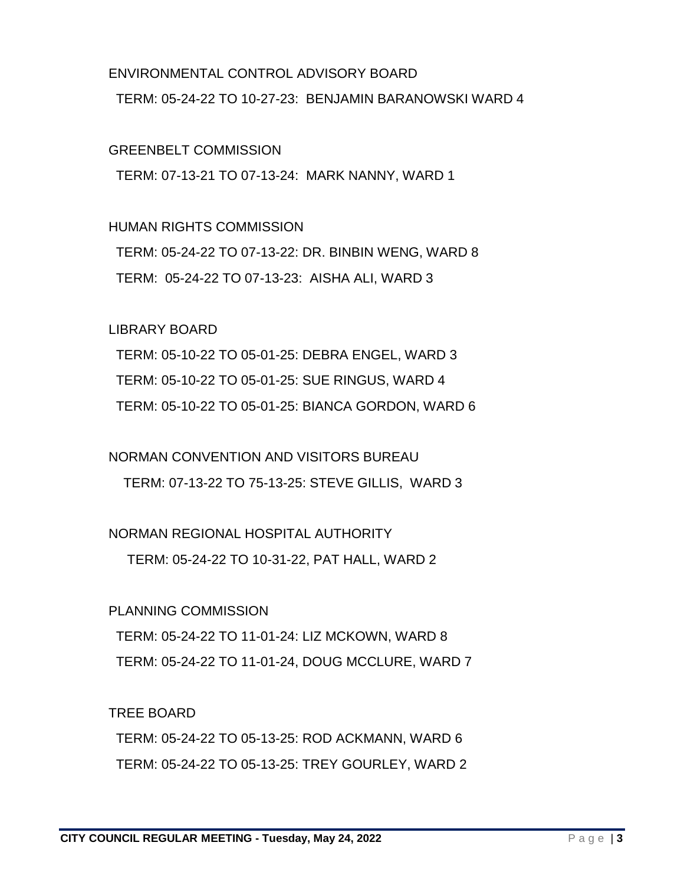### ENVIRONMENTAL CONTROL ADVISORY BOARD

TERM: 05-24-22 TO 10-27-23: BENJAMIN BARANOWSKI WARD 4

### GREENBELT COMMISSION

TERM: 07-13-21 TO 07-13-24: MARK NANNY, WARD 1

### HUMAN RIGHTS COMMISSION

 TERM: 05-24-22 TO 07-13-22: DR. BINBIN WENG, WARD 8 TERM: 05-24-22 TO 07-13-23: AISHA ALI, WARD 3

### LIBRARY BOARD

 TERM: 05-10-22 TO 05-01-25: DEBRA ENGEL, WARD 3 TERM: 05-10-22 TO 05-01-25: SUE RINGUS, WARD 4 TERM: 05-10-22 TO 05-01-25: BIANCA GORDON, WARD 6

# NORMAN CONVENTION AND VISITORS BUREAU

TERM: 07-13-22 TO 75-13-25: STEVE GILLIS, WARD 3

# NORMAN REGIONAL HOSPITAL AUTHORITY

TERM: 05-24-22 TO 10-31-22, PAT HALL, WARD 2

# PLANNING COMMISSION

 TERM: 05-24-22 TO 11-01-24: LIZ MCKOWN, WARD 8 TERM: 05-24-22 TO 11-01-24, DOUG MCCLURE, WARD 7

# TREE BOARD

 TERM: 05-24-22 TO 05-13-25: ROD ACKMANN, WARD 6 TERM: 05-24-22 TO 05-13-25: TREY GOURLEY, WARD 2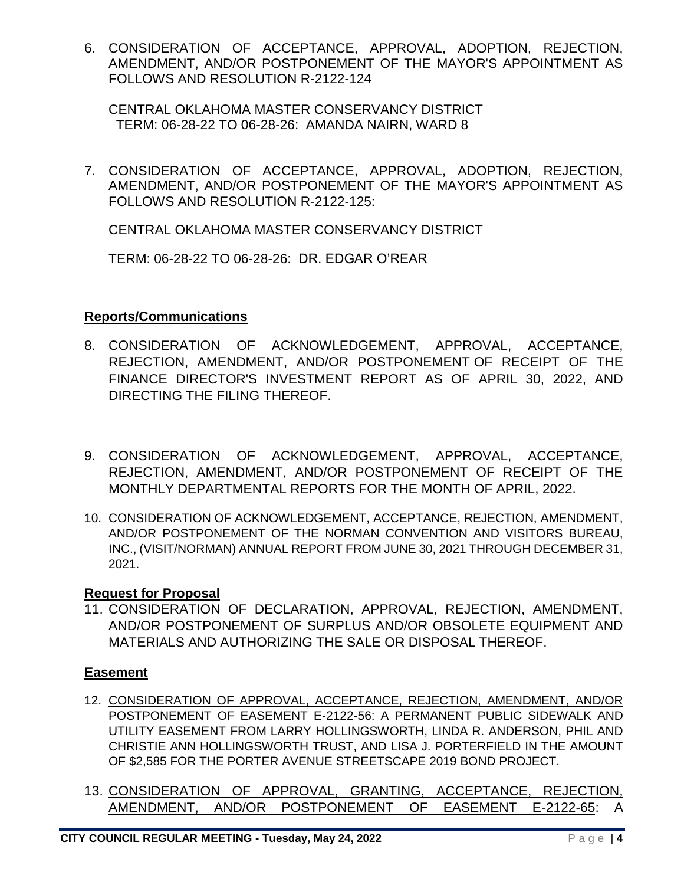6. CONSIDERATION OF ACCEPTANCE, APPROVAL, ADOPTION, REJECTION, AMENDMENT, AND/OR POSTPONEMENT OF THE MAYOR'S APPOINTMENT AS FOLLOWS AND RESOLUTION R-2122-124

CENTRAL OKLAHOMA MASTER CONSERVANCY DISTRICT TERM: 06-28-22 TO 06-28-26: AMANDA NAIRN, WARD 8

7. CONSIDERATION OF ACCEPTANCE, APPROVAL, ADOPTION, REJECTION, AMENDMENT, AND/OR POSTPONEMENT OF THE MAYOR'S APPOINTMENT AS FOLLOWS AND RESOLUTION R-2122-125:

CENTRAL OKLAHOMA MASTER CONSERVANCY DISTRICT

TERM: 06-28-22 TO 06-28-26: DR. EDGAR O'REAR

### **Reports/Communications**

- 8. CONSIDERATION OF ACKNOWLEDGEMENT, APPROVAL, ACCEPTANCE, REJECTION, AMENDMENT, AND/OR POSTPONEMENT OF RECEIPT OF THE FINANCE DIRECTOR'S INVESTMENT REPORT AS OF APRIL 30, 2022, AND DIRECTING THE FILING THEREOF.
- 9. CONSIDERATION OF ACKNOWLEDGEMENT, APPROVAL, ACCEPTANCE, REJECTION, AMENDMENT, AND/OR POSTPONEMENT OF RECEIPT OF THE MONTHLY DEPARTMENTAL REPORTS FOR THE MONTH OF APRIL, 2022.
- 10. CONSIDERATION OF ACKNOWLEDGEMENT, ACCEPTANCE, REJECTION, AMENDMENT, AND/OR POSTPONEMENT OF THE NORMAN CONVENTION AND VISITORS BUREAU, INC., (VISIT/NORMAN) ANNUAL REPORT FROM JUNE 30, 2021 THROUGH DECEMBER 31, 2021.

# **Request for Proposal**

11. CONSIDERATION OF DECLARATION, APPROVAL, REJECTION, AMENDMENT, AND/OR POSTPONEMENT OF SURPLUS AND/OR OBSOLETE EQUIPMENT AND MATERIALS AND AUTHORIZING THE SALE OR DISPOSAL THEREOF.

# **Easement**

- 12. CONSIDERATION OF APPROVAL, ACCEPTANCE, REJECTION, AMENDMENT, AND/OR POSTPONEMENT OF EASEMENT E-2122-56: A PERMANENT PUBLIC SIDEWALK AND UTILITY EASEMENT FROM LARRY HOLLINGSWORTH, LINDA R. ANDERSON, PHIL AND CHRISTIE ANN HOLLINGSWORTH TRUST, AND LISA J. PORTERFIELD IN THE AMOUNT OF \$2,585 FOR THE PORTER AVENUE STREETSCAPE 2019 BOND PROJECT.
- 13. CONSIDERATION OF APPROVAL, GRANTING, ACCEPTANCE, REJECTION, AMENDMENT, AND/OR POSTPONEMENT OF EASEMENT E-2122-65: A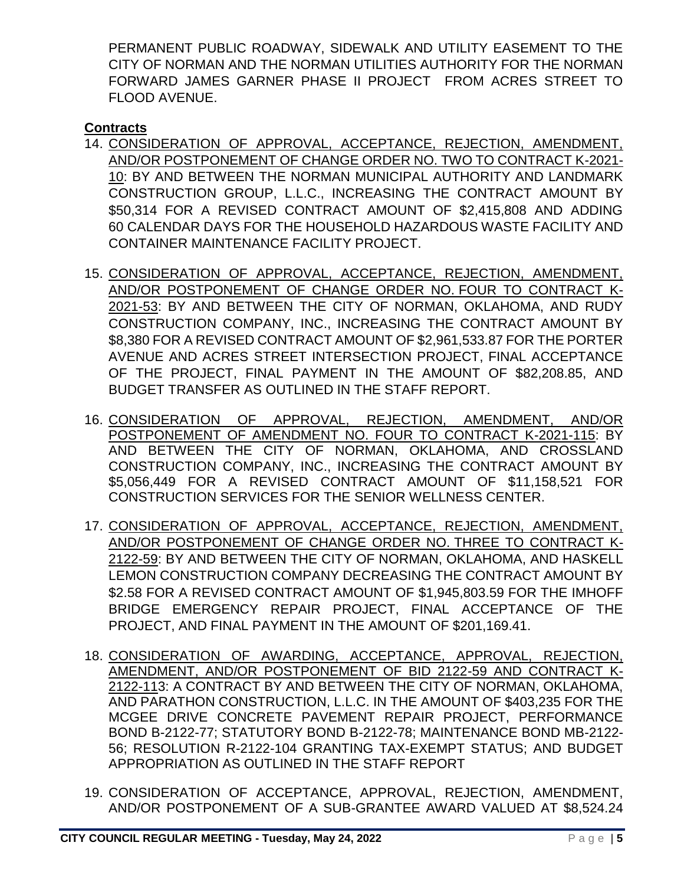PERMANENT PUBLIC ROADWAY, SIDEWALK AND UTILITY EASEMENT TO THE CITY OF NORMAN AND THE NORMAN UTILITIES AUTHORITY FOR THE NORMAN FORWARD JAMES GARNER PHASE II PROJECT FROM ACRES STREET TO FLOOD AVENUE.

# **Contracts**

- 14. CONSIDERATION OF APPROVAL, ACCEPTANCE, REJECTION, AMENDMENT, AND/OR POSTPONEMENT OF CHANGE ORDER NO. TWO TO CONTRACT K-2021- 10: BY AND BETWEEN THE NORMAN MUNICIPAL AUTHORITY AND LANDMARK CONSTRUCTION GROUP, L.L.C., INCREASING THE CONTRACT AMOUNT BY \$50,314 FOR A REVISED CONTRACT AMOUNT OF \$2,415,808 AND ADDING 60 CALENDAR DAYS FOR THE HOUSEHOLD HAZARDOUS WASTE FACILITY AND CONTAINER MAINTENANCE FACILITY PROJECT.
- 15. CONSIDERATION OF APPROVAL, ACCEPTANCE, REJECTION, AMENDMENT, AND/OR POSTPONEMENT OF CHANGE ORDER NO. FOUR TO CONTRACT K-2021-53: BY AND BETWEEN THE CITY OF NORMAN, OKLAHOMA, AND RUDY CONSTRUCTION COMPANY, INC., INCREASING THE CONTRACT AMOUNT BY \$8,380 FOR A REVISED CONTRACT AMOUNT OF \$2,961,533.87 FOR THE PORTER AVENUE AND ACRES STREET INTERSECTION PROJECT, FINAL ACCEPTANCE OF THE PROJECT, FINAL PAYMENT IN THE AMOUNT OF \$82,208.85, AND BUDGET TRANSFER AS OUTLINED IN THE STAFF REPORT.
- 16. CONSIDERATION OF APPROVAL, REJECTION, AMENDMENT, AND/OR POSTPONEMENT OF AMENDMENT NO. FOUR TO CONTRACT K-2021-115: BY AND BETWEEN THE CITY OF NORMAN, OKLAHOMA, AND CROSSLAND CONSTRUCTION COMPANY, INC., INCREASING THE CONTRACT AMOUNT BY \$5,056,449 FOR A REVISED CONTRACT AMOUNT OF \$11,158,521 FOR CONSTRUCTION SERVICES FOR THE SENIOR WELLNESS CENTER.
- 17. CONSIDERATION OF APPROVAL, ACCEPTANCE, REJECTION, AMENDMENT, AND/OR POSTPONEMENT OF CHANGE ORDER NO. THREE TO CONTRACT K-2122-59: BY AND BETWEEN THE CITY OF NORMAN, OKLAHOMA, AND HASKELL LEMON CONSTRUCTION COMPANY DECREASING THE CONTRACT AMOUNT BY \$2.58 FOR A REVISED CONTRACT AMOUNT OF \$1,945,803.59 FOR THE IMHOFF BRIDGE EMERGENCY REPAIR PROJECT, FINAL ACCEPTANCE OF THE PROJECT, AND FINAL PAYMENT IN THE AMOUNT OF \$201,169.41.
- 18. CONSIDERATION OF AWARDING, ACCEPTANCE, APPROVAL, REJECTION, AMENDMENT, AND/OR POSTPONEMENT OF BID 2122-59 AND CONTRACT K-2122-113: A CONTRACT BY AND BETWEEN THE CITY OF NORMAN, OKLAHOMA, AND PARATHON CONSTRUCTION, L.L.C. IN THE AMOUNT OF \$403,235 FOR THE MCGEE DRIVE CONCRETE PAVEMENT REPAIR PROJECT, PERFORMANCE BOND B-2122-77; STATUTORY BOND B-2122-78; MAINTENANCE BOND MB-2122- 56; RESOLUTION R-2122-104 GRANTING TAX-EXEMPT STATUS; AND BUDGET APPROPRIATION AS OUTLINED IN THE STAFF REPORT
- 19. CONSIDERATION OF ACCEPTANCE, APPROVAL, REJECTION, AMENDMENT, AND/OR POSTPONEMENT OF A SUB-GRANTEE AWARD VALUED AT \$8,524.24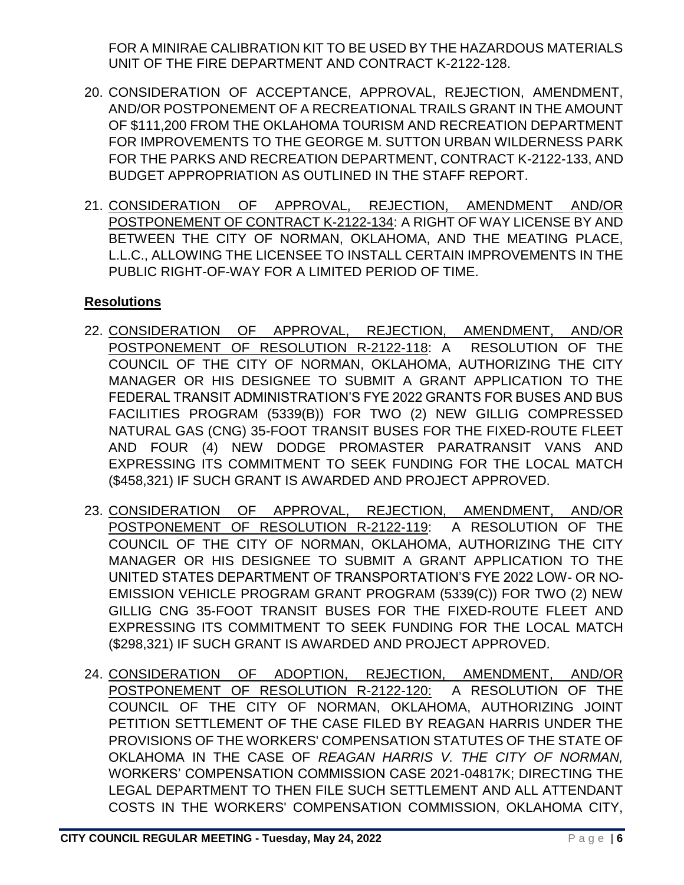FOR A MINIRAE CALIBRATION KIT TO BE USED BY THE HAZARDOUS MATERIALS UNIT OF THE FIRE DEPARTMENT AND CONTRACT K-2122-128.

- 20. CONSIDERATION OF ACCEPTANCE, APPROVAL, REJECTION, AMENDMENT, AND/OR POSTPONEMENT OF A RECREATIONAL TRAILS GRANT IN THE AMOUNT OF \$111,200 FROM THE OKLAHOMA TOURISM AND RECREATION DEPARTMENT FOR IMPROVEMENTS TO THE GEORGE M. SUTTON URBAN WILDERNESS PARK FOR THE PARKS AND RECREATION DEPARTMENT, CONTRACT K-2122-133, AND BUDGET APPROPRIATION AS OUTLINED IN THE STAFF REPORT.
- 21. CONSIDERATION OF APPROVAL, REJECTION, AMENDMENT AND/OR POSTPONEMENT OF CONTRACT K-2122-134: A RIGHT OF WAY LICENSE BY AND BETWEEN THE CITY OF NORMAN, OKLAHOMA, AND THE MEATING PLACE, L.L.C., ALLOWING THE LICENSEE TO INSTALL CERTAIN IMPROVEMENTS IN THE PUBLIC RIGHT-OF-WAY FOR A LIMITED PERIOD OF TIME.

# **Resolutions**

- 22. CONSIDERATION OF APPROVAL, REJECTION, AMENDMENT, AND/OR POSTPONEMENT OF RESOLUTION R-2122-118: A RESOLUTION OF THE COUNCIL OF THE CITY OF NORMAN, OKLAHOMA, AUTHORIZING THE CITY MANAGER OR HIS DESIGNEE TO SUBMIT A GRANT APPLICATION TO THE FEDERAL TRANSIT ADMINISTRATION'S FYE 2022 GRANTS FOR BUSES AND BUS FACILITIES PROGRAM (5339(B)) FOR TWO (2) NEW GILLIG COMPRESSED NATURAL GAS (CNG) 35-FOOT TRANSIT BUSES FOR THE FIXED-ROUTE FLEET AND FOUR (4) NEW DODGE PROMASTER PARATRANSIT VANS AND EXPRESSING ITS COMMITMENT TO SEEK FUNDING FOR THE LOCAL MATCH (\$458,321) IF SUCH GRANT IS AWARDED AND PROJECT APPROVED.
- 23. CONSIDERATION OF APPROVAL, REJECTION, AMENDMENT, AND/OR POSTPONEMENT OF RESOLUTION R-2122-119: A RESOLUTION OF THE COUNCIL OF THE CITY OF NORMAN, OKLAHOMA, AUTHORIZING THE CITY MANAGER OR HIS DESIGNEE TO SUBMIT A GRANT APPLICATION TO THE UNITED STATES DEPARTMENT OF TRANSPORTATION'S FYE 2022 LOW- OR NO-EMISSION VEHICLE PROGRAM GRANT PROGRAM (5339(C)) FOR TWO (2) NEW GILLIG CNG 35-FOOT TRANSIT BUSES FOR THE FIXED-ROUTE FLEET AND EXPRESSING ITS COMMITMENT TO SEEK FUNDING FOR THE LOCAL MATCH (\$298,321) IF SUCH GRANT IS AWARDED AND PROJECT APPROVED.
- 24. CONSIDERATION OF ADOPTION, REJECTION, AMENDMENT, AND/OR POSTPONEMENT OF RESOLUTION R-2122-120: A RESOLUTION OF THE COUNCIL OF THE CITY OF NORMAN, OKLAHOMA, AUTHORIZING JOINT PETITION SETTLEMENT OF THE CASE FILED BY REAGAN HARRIS UNDER THE PROVISIONS OF THE WORKERS' COMPENSATION STATUTES OF THE STATE OF OKLAHOMA IN THE CASE OF *REAGAN HARRIS V. THE CITY OF NORMAN,*  WORKERS' COMPENSATION COMMISSION CASE 2021-04817K; DIRECTING THE LEGAL DEPARTMENT TO THEN FILE SUCH SETTLEMENT AND ALL ATTENDANT COSTS IN THE WORKERS' COMPENSATION COMMISSION, OKLAHOMA CITY,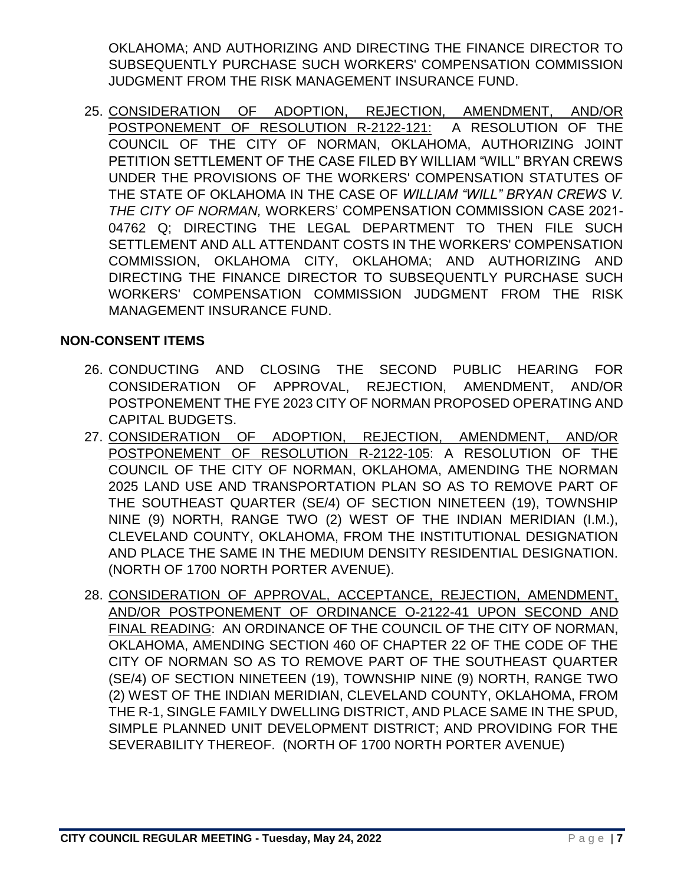OKLAHOMA; AND AUTHORIZING AND DIRECTING THE FINANCE DIRECTOR TO SUBSEQUENTLY PURCHASE SUCH WORKERS' COMPENSATION COMMISSION JUDGMENT FROM THE RISK MANAGEMENT INSURANCE FUND.

25. CONSIDERATION OF ADOPTION, REJECTION, AMENDMENT, AND/OR POSTPONEMENT OF RESOLUTION R-2122-121: A RESOLUTION OF THE COUNCIL OF THE CITY OF NORMAN, OKLAHOMA, AUTHORIZING JOINT PETITION SETTLEMENT OF THE CASE FILED BY WILLIAM "WILL" BRYAN CREWS UNDER THE PROVISIONS OF THE WORKERS' COMPENSATION STATUTES OF THE STATE OF OKLAHOMA IN THE CASE OF *WILLIAM "WILL" BRYAN CREWS V. THE CITY OF NORMAN,* WORKERS' COMPENSATION COMMISSION CASE 2021- 04762 Q; DIRECTING THE LEGAL DEPARTMENT TO THEN FILE SUCH SETTLEMENT AND ALL ATTENDANT COSTS IN THE WORKERS' COMPENSATION COMMISSION, OKLAHOMA CITY, OKLAHOMA; AND AUTHORIZING AND DIRECTING THE FINANCE DIRECTOR TO SUBSEQUENTLY PURCHASE SUCH WORKERS' COMPENSATION COMMISSION JUDGMENT FROM THE RISK MANAGEMENT INSURANCE FUND.

# **NON-CONSENT ITEMS**

- 26. CONDUCTING AND CLOSING THE SECOND PUBLIC HEARING FOR CONSIDERATION OF APPROVAL, REJECTION, AMENDMENT, AND/OR POSTPONEMENT THE FYE 2023 CITY OF NORMAN PROPOSED OPERATING AND CAPITAL BUDGETS.
- 27. CONSIDERATION OF ADOPTION, REJECTION, AMENDMENT, AND/OR POSTPONEMENT OF RESOLUTION R-2122-105: A RESOLUTION OF THE COUNCIL OF THE CITY OF NORMAN, OKLAHOMA, AMENDING THE NORMAN 2025 LAND USE AND TRANSPORTATION PLAN SO AS TO REMOVE PART OF THE SOUTHEAST QUARTER (SE/4) OF SECTION NINETEEN (19), TOWNSHIP NINE (9) NORTH, RANGE TWO (2) WEST OF THE INDIAN MERIDIAN (I.M.), CLEVELAND COUNTY, OKLAHOMA, FROM THE INSTITUTIONAL DESIGNATION AND PLACE THE SAME IN THE MEDIUM DENSITY RESIDENTIAL DESIGNATION. (NORTH OF 1700 NORTH PORTER AVENUE).
- 28. CONSIDERATION OF APPROVAL, ACCEPTANCE, REJECTION, AMENDMENT, AND/OR POSTPONEMENT OF ORDINANCE O-2122-41 UPON SECOND AND FINAL READING: AN ORDINANCE OF THE COUNCIL OF THE CITY OF NORMAN, OKLAHOMA, AMENDING SECTION 460 OF CHAPTER 22 OF THE CODE OF THE CITY OF NORMAN SO AS TO REMOVE PART OF THE SOUTHEAST QUARTER (SE/4) OF SECTION NINETEEN (19), TOWNSHIP NINE (9) NORTH, RANGE TWO (2) WEST OF THE INDIAN MERIDIAN, CLEVELAND COUNTY, OKLAHOMA, FROM THE R-1, SINGLE FAMILY DWELLING DISTRICT, AND PLACE SAME IN THE SPUD, SIMPLE PLANNED UNIT DEVELOPMENT DISTRICT; AND PROVIDING FOR THE SEVERABILITY THEREOF. (NORTH OF 1700 NORTH PORTER AVENUE)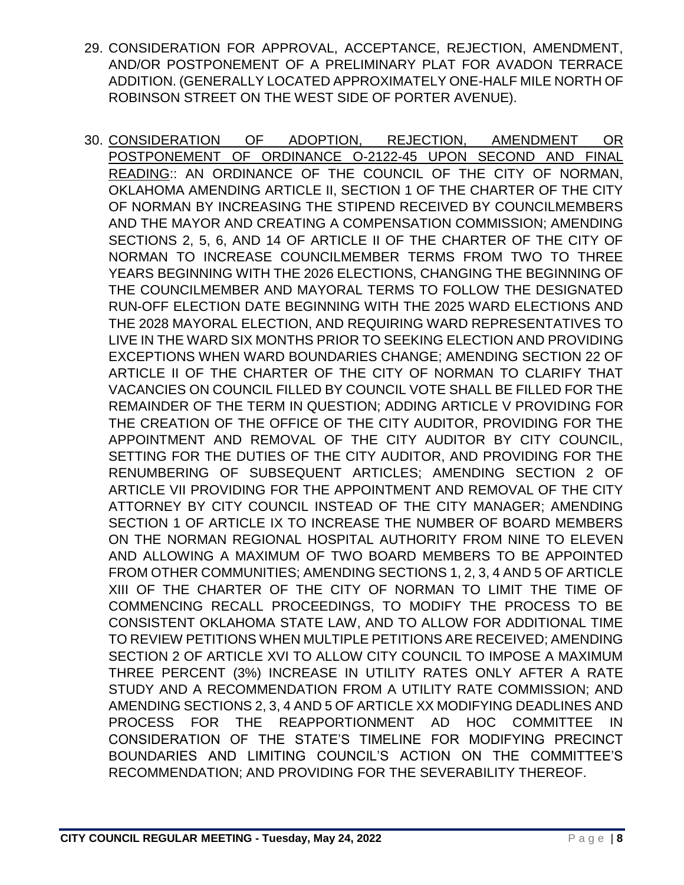- 29. CONSIDERATION FOR APPROVAL, ACCEPTANCE, REJECTION, AMENDMENT, AND/OR POSTPONEMENT OF A PRELIMINARY PLAT FOR AVADON TERRACE ADDITION. (GENERALLY LOCATED APPROXIMATELY ONE-HALF MILE NORTH OF ROBINSON STREET ON THE WEST SIDE OF PORTER AVENUE).
- 30. CONSIDERATION OF ADOPTION, REJECTION, AMENDMENT OR POSTPONEMENT OF ORDINANCE O-2122-45 UPON SECOND AND FINAL READING:: AN ORDINANCE OF THE COUNCIL OF THE CITY OF NORMAN, OKLAHOMA AMENDING ARTICLE II, SECTION 1 OF THE CHARTER OF THE CITY OF NORMAN BY INCREASING THE STIPEND RECEIVED BY COUNCILMEMBERS AND THE MAYOR AND CREATING A COMPENSATION COMMISSION; AMENDING SECTIONS 2, 5, 6, AND 14 OF ARTICLE II OF THE CHARTER OF THE CITY OF NORMAN TO INCREASE COUNCILMEMBER TERMS FROM TWO TO THREE YEARS BEGINNING WITH THE 2026 ELECTIONS, CHANGING THE BEGINNING OF THE COUNCILMEMBER AND MAYORAL TERMS TO FOLLOW THE DESIGNATED RUN-OFF ELECTION DATE BEGINNING WITH THE 2025 WARD ELECTIONS AND THE 2028 MAYORAL ELECTION, AND REQUIRING WARD REPRESENTATIVES TO LIVE IN THE WARD SIX MONTHS PRIOR TO SEEKING ELECTION AND PROVIDING EXCEPTIONS WHEN WARD BOUNDARIES CHANGE; AMENDING SECTION 22 OF ARTICLE II OF THE CHARTER OF THE CITY OF NORMAN TO CLARIFY THAT VACANCIES ON COUNCIL FILLED BY COUNCIL VOTE SHALL BE FILLED FOR THE REMAINDER OF THE TERM IN QUESTION; ADDING ARTICLE V PROVIDING FOR THE CREATION OF THE OFFICE OF THE CITY AUDITOR, PROVIDING FOR THE APPOINTMENT AND REMOVAL OF THE CITY AUDITOR BY CITY COUNCIL, SETTING FOR THE DUTIES OF THE CITY AUDITOR, AND PROVIDING FOR THE RENUMBERING OF SUBSEQUENT ARTICLES; AMENDING SECTION 2 OF ARTICLE VII PROVIDING FOR THE APPOINTMENT AND REMOVAL OF THE CITY ATTORNEY BY CITY COUNCIL INSTEAD OF THE CITY MANAGER; AMENDING SECTION 1 OF ARTICLE IX TO INCREASE THE NUMBER OF BOARD MEMBERS ON THE NORMAN REGIONAL HOSPITAL AUTHORITY FROM NINE TO ELEVEN AND ALLOWING A MAXIMUM OF TWO BOARD MEMBERS TO BE APPOINTED FROM OTHER COMMUNITIES; AMENDING SECTIONS 1, 2, 3, 4 AND 5 OF ARTICLE XIII OF THE CHARTER OF THE CITY OF NORMAN TO LIMIT THE TIME OF COMMENCING RECALL PROCEEDINGS, TO MODIFY THE PROCESS TO BE CONSISTENT OKLAHOMA STATE LAW, AND TO ALLOW FOR ADDITIONAL TIME TO REVIEW PETITIONS WHEN MULTIPLE PETITIONS ARE RECEIVED; AMENDING SECTION 2 OF ARTICLE XVI TO ALLOW CITY COUNCIL TO IMPOSE A MAXIMUM THREE PERCENT (3%) INCREASE IN UTILITY RATES ONLY AFTER A RATE STUDY AND A RECOMMENDATION FROM A UTILITY RATE COMMISSION; AND AMENDING SECTIONS 2, 3, 4 AND 5 OF ARTICLE XX MODIFYING DEADLINES AND PROCESS FOR THE REAPPORTIONMENT AD HOC COMMITTEE IN CONSIDERATION OF THE STATE'S TIMELINE FOR MODIFYING PRECINCT BOUNDARIES AND LIMITING COUNCIL'S ACTION ON THE COMMITTEE'S RECOMMENDATION; AND PROVIDING FOR THE SEVERABILITY THEREOF.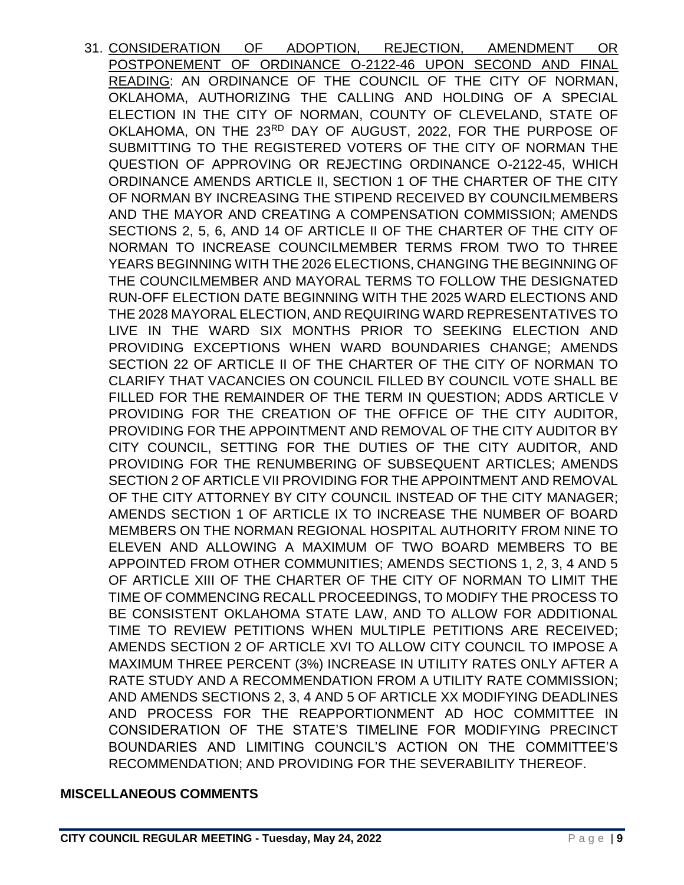31. CONSIDERATION OF ADOPTION, REJECTION, AMENDMENT OR POSTPONEMENT OF ORDINANCE O-2122-46 UPON SECOND AND FINAL READING: AN ORDINANCE OF THE COUNCIL OF THE CITY OF NORMAN, OKLAHOMA, AUTHORIZING THE CALLING AND HOLDING OF A SPECIAL ELECTION IN THE CITY OF NORMAN, COUNTY OF CLEVELAND, STATE OF OKLAHOMA, ON THE 23RD DAY OF AUGUST, 2022, FOR THE PURPOSE OF SUBMITTING TO THE REGISTERED VOTERS OF THE CITY OF NORMAN THE QUESTION OF APPROVING OR REJECTING ORDINANCE O-2122-45, WHICH ORDINANCE AMENDS ARTICLE II, SECTION 1 OF THE CHARTER OF THE CITY OF NORMAN BY INCREASING THE STIPEND RECEIVED BY COUNCILMEMBERS AND THE MAYOR AND CREATING A COMPENSATION COMMISSION; AMENDS SECTIONS 2, 5, 6, AND 14 OF ARTICLE II OF THE CHARTER OF THE CITY OF NORMAN TO INCREASE COUNCILMEMBER TERMS FROM TWO TO THREE YEARS BEGINNING WITH THE 2026 ELECTIONS, CHANGING THE BEGINNING OF THE COUNCILMEMBER AND MAYORAL TERMS TO FOLLOW THE DESIGNATED RUN-OFF ELECTION DATE BEGINNING WITH THE 2025 WARD ELECTIONS AND THE 2028 MAYORAL ELECTION, AND REQUIRING WARD REPRESENTATIVES TO LIVE IN THE WARD SIX MONTHS PRIOR TO SEEKING ELECTION AND PROVIDING EXCEPTIONS WHEN WARD BOUNDARIES CHANGE; AMENDS SECTION 22 OF ARTICLE II OF THE CHARTER OF THE CITY OF NORMAN TO CLARIFY THAT VACANCIES ON COUNCIL FILLED BY COUNCIL VOTE SHALL BE FILLED FOR THE REMAINDER OF THE TERM IN QUESTION; ADDS ARTICLE V PROVIDING FOR THE CREATION OF THE OFFICE OF THE CITY AUDITOR, PROVIDING FOR THE APPOINTMENT AND REMOVAL OF THE CITY AUDITOR BY CITY COUNCIL, SETTING FOR THE DUTIES OF THE CITY AUDITOR, AND PROVIDING FOR THE RENUMBERING OF SUBSEQUENT ARTICLES; AMENDS SECTION 2 OF ARTICLE VII PROVIDING FOR THE APPOINTMENT AND REMOVAL OF THE CITY ATTORNEY BY CITY COUNCIL INSTEAD OF THE CITY MANAGER; AMENDS SECTION 1 OF ARTICLE IX TO INCREASE THE NUMBER OF BOARD MEMBERS ON THE NORMAN REGIONAL HOSPITAL AUTHORITY FROM NINE TO ELEVEN AND ALLOWING A MAXIMUM OF TWO BOARD MEMBERS TO BE APPOINTED FROM OTHER COMMUNITIES; AMENDS SECTIONS 1, 2, 3, 4 AND 5 OF ARTICLE XIII OF THE CHARTER OF THE CITY OF NORMAN TO LIMIT THE TIME OF COMMENCING RECALL PROCEEDINGS, TO MODIFY THE PROCESS TO BE CONSISTENT OKLAHOMA STATE LAW, AND TO ALLOW FOR ADDITIONAL TIME TO REVIEW PETITIONS WHEN MULTIPLE PETITIONS ARE RECEIVED; AMENDS SECTION 2 OF ARTICLE XVI TO ALLOW CITY COUNCIL TO IMPOSE A MAXIMUM THREE PERCENT (3%) INCREASE IN UTILITY RATES ONLY AFTER A RATE STUDY AND A RECOMMENDATION FROM A UTILITY RATE COMMISSION; AND AMENDS SECTIONS 2, 3, 4 AND 5 OF ARTICLE XX MODIFYING DEADLINES AND PROCESS FOR THE REAPPORTIONMENT AD HOC COMMITTEE IN CONSIDERATION OF THE STATE'S TIMELINE FOR MODIFYING PRECINCT BOUNDARIES AND LIMITING COUNCIL'S ACTION ON THE COMMITTEE'S RECOMMENDATION; AND PROVIDING FOR THE SEVERABILITY THEREOF.

### **MISCELLANEOUS COMMENTS**